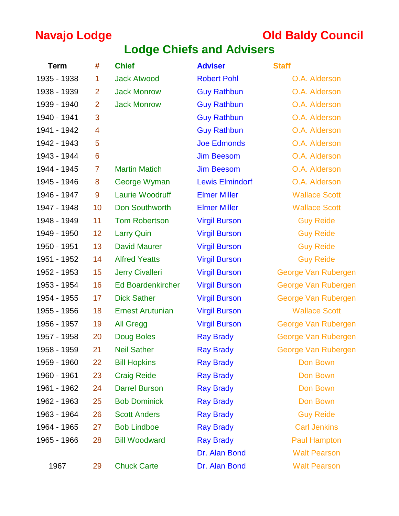# **Navajo Lodge Council Old Baldy Council**

# **Lodge Chiefs and Advisers**

| <b>Term</b> | #              | <b>Chief</b>             | <b>Adviser</b>         | <b>Staff</b>         |
|-------------|----------------|--------------------------|------------------------|----------------------|
| 1935 - 1938 | 1              | <b>Jack Atwood</b>       | <b>Robert Pohl</b>     | O.A. Alderson        |
| 1938 - 1939 | $\overline{2}$ | <b>Jack Monrow</b>       | <b>Guy Rathbun</b>     | O.A. Alderson        |
| 1939 - 1940 | $\overline{2}$ | <b>Jack Monrow</b>       | <b>Guy Rathbun</b>     | O.A. Alderson        |
| 1940 - 1941 | 3              |                          | <b>Guy Rathbun</b>     | O.A. Alderson        |
| 1941 - 1942 | $\overline{4}$ |                          | <b>Guy Rathbun</b>     | O.A. Alderson        |
| 1942 - 1943 | 5              |                          | <b>Joe Edmonds</b>     | O.A. Alderson        |
| 1943 - 1944 | 6              |                          | <b>Jim Beesom</b>      | O.A. Alderson        |
| 1944 - 1945 | 7              | <b>Martin Matich</b>     | <b>Jim Beesom</b>      | O.A. Alderson        |
| 1945 - 1946 | 8              | George Wyman             | <b>Lewis Elmindorf</b> | O.A. Alderson        |
| 1946 - 1947 | 9              | <b>Laurie Woodruff</b>   | <b>Elmer Miller</b>    | <b>Wallace Scott</b> |
| 1947 - 1948 | 10             | <b>Don Southworth</b>    | <b>Elmer Miller</b>    | <b>Wallace Scott</b> |
| 1948 - 1949 | 11             | <b>Tom Robertson</b>     | <b>Virgil Burson</b>   | <b>Guy Reide</b>     |
| 1949 - 1950 | 12             | <b>Larry Quin</b>        | <b>Virgil Burson</b>   | <b>Guy Reide</b>     |
| 1950 - 1951 | 13             | <b>David Maurer</b>      | <b>Virgil Burson</b>   | <b>Guy Reide</b>     |
| 1951 - 1952 | 14             | <b>Alfred Yeatts</b>     | <b>Virgil Burson</b>   | <b>Guy Reide</b>     |
| 1952 - 1953 | 15             | <b>Jerry Civalleri</b>   | <b>Virgil Burson</b>   | George Van Rubergen  |
| 1953 - 1954 | 16             | <b>Ed Boardenkircher</b> | <b>Virgil Burson</b>   | George Van Rubergen  |
| 1954 - 1955 | 17             | <b>Dick Sather</b>       | <b>Virgil Burson</b>   | George Van Rubergen  |
| 1955 - 1956 | 18             | <b>Ernest Arutunian</b>  | <b>Virgil Burson</b>   | <b>Wallace Scott</b> |
| 1956 - 1957 | 19             | <b>All Gregg</b>         | <b>Virgil Burson</b>   | George Van Rubergen  |
| 1957 - 1958 | 20             | Doug Boles               | <b>Ray Brady</b>       | George Van Rubergen  |
| 1958 - 1959 | 21             | <b>Neil Sather</b>       | <b>Ray Brady</b>       | George Van Rubergen  |
| 1959 - 1960 | 22             | <b>Bill Hopkins</b>      | <b>Ray Brady</b>       | Don Bown             |
| 1960 - 1961 | 23             | <b>Craig Reide</b>       | <b>Ray Brady</b>       | Don Bown             |
| 1961 - 1962 | 24             | <b>Darrel Burson</b>     | <b>Ray Brady</b>       | Don Bown             |
| 1962 - 1963 | 25             | <b>Bob Dominick</b>      | <b>Ray Brady</b>       | Don Bown             |
| 1963 - 1964 | 26             | <b>Scott Anders</b>      | <b>Ray Brady</b>       | <b>Guy Reide</b>     |
| 1964 - 1965 | 27             | <b>Bob Lindboe</b>       | <b>Ray Brady</b>       | <b>Carl Jenkins</b>  |
| 1965 - 1966 | 28             | <b>Bill Woodward</b>     | <b>Ray Brady</b>       | <b>Paul Hampton</b>  |
|             |                |                          | Dr. Alan Bond          | <b>Walt Pearson</b>  |
| 1967        | 29             | <b>Chuck Carte</b>       | Dr. Alan Bond          | <b>Walt Pearson</b>  |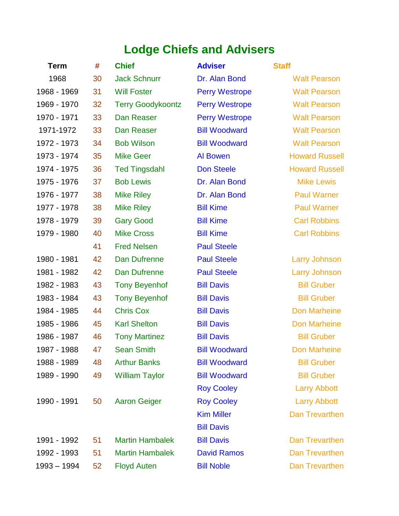# **Lodge Chiefs and Advisers**

| <b>Term</b> | #  | <b>Chief</b>             | <b>Adviser</b>        | <b>Staff</b>          |
|-------------|----|--------------------------|-----------------------|-----------------------|
| 1968        | 30 | <b>Jack Schnurr</b>      | Dr. Alan Bond         | <b>Walt Pearson</b>   |
| 1968 - 1969 | 31 | <b>Will Foster</b>       | <b>Perry Westrope</b> | <b>Walt Pearson</b>   |
| 1969 - 1970 | 32 | <b>Terry Goodykoontz</b> | <b>Perry Westrope</b> | <b>Walt Pearson</b>   |
| 1970 - 1971 | 33 | Dan Reaser               | <b>Perry Westrope</b> | <b>Walt Pearson</b>   |
| 1971-1972   | 33 | Dan Reaser               | <b>Bill Woodward</b>  | <b>Walt Pearson</b>   |
| 1972 - 1973 | 34 | <b>Bob Wilson</b>        | <b>Bill Woodward</b>  | <b>Walt Pearson</b>   |
| 1973 - 1974 | 35 | <b>Mike Geer</b>         | <b>Al Bowen</b>       | <b>Howard Russell</b> |
| 1974 - 1975 | 36 | <b>Ted Tingsdahl</b>     | <b>Don Steele</b>     | <b>Howard Russell</b> |
| 1975 - 1976 | 37 | <b>Bob Lewis</b>         | Dr. Alan Bond         | <b>Mike Lewis</b>     |
| 1976 - 1977 | 38 | <b>Mike Riley</b>        | Dr. Alan Bond         | <b>Paul Warner</b>    |
| 1977 - 1978 | 38 | <b>Mike Riley</b>        | <b>Bill Kime</b>      | <b>Paul Warner</b>    |
| 1978 - 1979 | 39 | <b>Gary Good</b>         | <b>Bill Kime</b>      | <b>Carl Robbins</b>   |
| 1979 - 1980 | 40 | <b>Mike Cross</b>        | <b>Bill Kime</b>      | <b>Carl Robbins</b>   |
|             | 41 | <b>Fred Nelsen</b>       | <b>Paul Steele</b>    |                       |
| 1980 - 1981 | 42 | Dan Dufrenne             | <b>Paul Steele</b>    | <b>Larry Johnson</b>  |
| 1981 - 1982 | 42 | Dan Dufrenne             | <b>Paul Steele</b>    | <b>Larry Johnson</b>  |
| 1982 - 1983 | 43 | <b>Tony Beyenhof</b>     | <b>Bill Davis</b>     | <b>Bill Gruber</b>    |
| 1983 - 1984 | 43 | <b>Tony Beyenhof</b>     | <b>Bill Davis</b>     | <b>Bill Gruber</b>    |
| 1984 - 1985 | 44 | <b>Chris Cox</b>         | <b>Bill Davis</b>     | <b>Don Marheine</b>   |
| 1985 - 1986 | 45 | <b>Karl Shelton</b>      | <b>Bill Davis</b>     | <b>Don Marheine</b>   |
| 1986 - 1987 | 46 | <b>Tony Martinez</b>     | <b>Bill Davis</b>     | <b>Bill Gruber</b>    |
| 1987 - 1988 | 47 | <b>Sean Smith</b>        | <b>Bill Woodward</b>  | Don Marheine          |
| 1988 - 1989 | 48 | <b>Arthur Banks</b>      | <b>Bill Woodward</b>  | <b>Bill Gruber</b>    |
| 1989 - 1990 | 49 | <b>William Taylor</b>    | <b>Bill Woodward</b>  | <b>Bill Gruber</b>    |
|             |    |                          | <b>Roy Cooley</b>     | <b>Larry Abbott</b>   |
| 1990 - 1991 | 50 | <b>Aaron Geiger</b>      | <b>Roy Cooley</b>     | <b>Larry Abbott</b>   |
|             |    |                          | <b>Kim Miller</b>     | <b>Dan Trevarthen</b> |
|             |    |                          | <b>Bill Davis</b>     |                       |
| 1991 - 1992 | 51 | <b>Martin Hambalek</b>   | <b>Bill Davis</b>     | <b>Dan Trevarthen</b> |
| 1992 - 1993 | 51 | <b>Martin Hambalek</b>   | <b>David Ramos</b>    | <b>Dan Trevarthen</b> |
| 1993 - 1994 | 52 | <b>Floyd Auten</b>       | <b>Bill Noble</b>     | Dan Trevarthen        |